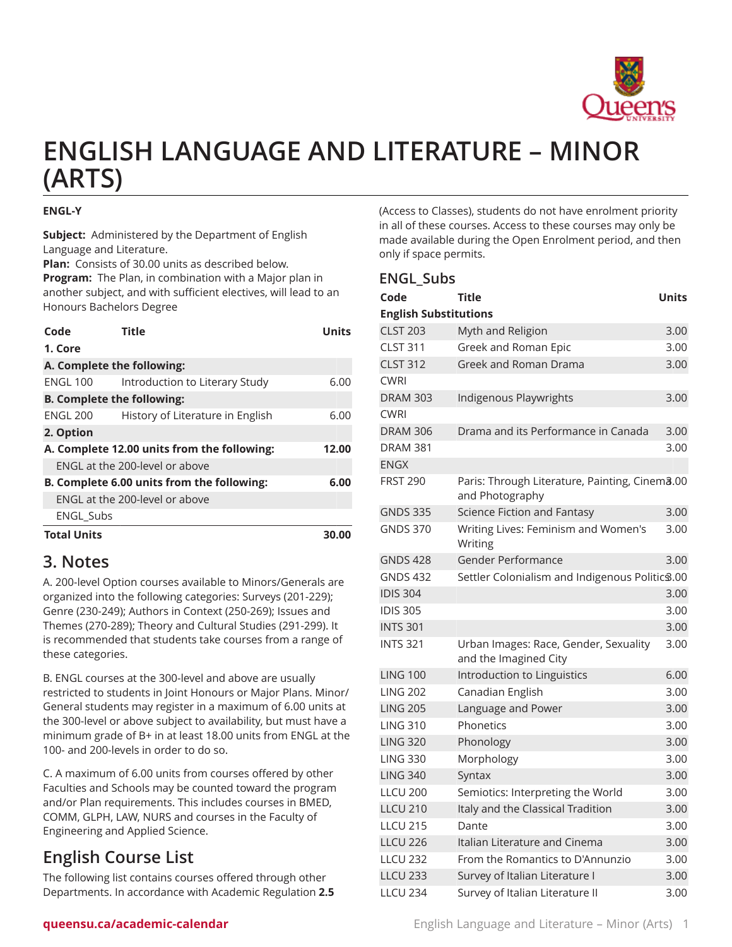

# **ENGLISH LANGUAGE AND LITERATURE – MINOR (ARTS)**

#### **ENGL-Y**

**Subject:** Administered by the Department of English Language and Literature.

**Plan:** Consists of 30.00 units as described below. **Program:** The Plan, in combination with a Major plan in another subject, and with sufficient electives, will lead to an Honours Bachelors Degree

| Code                                        | <b>Title</b>                     | Units |
|---------------------------------------------|----------------------------------|-------|
| 1. Core                                     |                                  |       |
| A. Complete the following:                  |                                  |       |
| <b>ENGL 100</b>                             | Introduction to Literary Study   | 6.00  |
| <b>B. Complete the following:</b>           |                                  |       |
| ENGL 200                                    | History of Literature in English | 6.00  |
| 2. Option                                   |                                  |       |
| A. Complete 12.00 units from the following: | 12.00                            |       |
|                                             | ENGL at the 200-level or above   |       |
| B. Complete 6.00 units from the following:  |                                  | 6.00  |
| ENGL at the 200-level or above              |                                  |       |
| <b>ENGL Subs</b>                            |                                  |       |
| <b>Total Units</b>                          |                                  | 30.0  |

## **3. Notes**

A. 200-level Option courses available to Minors/Generals are organized into the following categories: Surveys (201-229); Genre (230-249); Authors in Context (250-269); Issues and Themes (270-289); Theory and Cultural Studies (291-299). It is recommended that students take courses from a range of these categories.

B. ENGL courses at the 300-level and above are usually restricted to students in Joint Honours or Major Plans. Minor/ General students may register in a maximum of 6.00 units at the 300-level or above subject to availability, but must have a minimum grade of B+ in at least 18.00 units from ENGL at the 100- and 200-levels in order to do so.

C. A maximum of 6.00 units from courses offered by other Faculties and Schools may be counted toward the program and/or Plan requirements. This includes courses in BMED, COMM, GLPH, LAW, NURS and courses in the Faculty of Engineering and Applied Science.

# **English Course List**

The following list contains courses offered through other Departments. In accordance with Academic Regulation **2.5**

(Access to Classes), students do not have enrolment priority in all of these courses. Access to these courses may only be made available during the Open Enrolment period, and then only if space permits.

### **ENGL\_Subs**

| Code                         | <b>Title</b>                                                      | <b>Units</b> |
|------------------------------|-------------------------------------------------------------------|--------------|
| <b>English Substitutions</b> |                                                                   |              |
| <b>CLST 203</b>              | Myth and Religion                                                 | 3.00         |
| <b>CLST 311</b>              | Greek and Roman Epic                                              | 3.00         |
| <b>CLST 312</b>              | Greek and Roman Drama                                             | 3.00         |
| <b>CWRI</b>                  |                                                                   |              |
| <b>DRAM 303</b>              | Indigenous Playwrights                                            | 3.00         |
| <b>CWRI</b>                  |                                                                   |              |
| <b>DRAM 306</b>              | Drama and its Performance in Canada                               | 3.00         |
| <b>DRAM 381</b>              |                                                                   | 3.00         |
| ENGX                         |                                                                   |              |
| <b>FRST 290</b>              | Paris: Through Literature, Painting, Cinema.00<br>and Photography |              |
| <b>GNDS 335</b>              | Science Fiction and Fantasy                                       | 3.00         |
| <b>GNDS 370</b>              | Writing Lives: Feminism and Women's<br>Writing                    | 3.00         |
| <b>GNDS 428</b>              | Gender Performance                                                | 3.00         |
| <b>GNDS 432</b>              | Settler Colonialism and Indigenous Politic \$.00                  |              |
| <b>IDIS 304</b>              |                                                                   | 3.00         |
| <b>IDIS 305</b>              |                                                                   | 3.00         |
| <b>INTS 301</b>              |                                                                   | 3.00         |
| <b>INTS 321</b>              | Urban Images: Race, Gender, Sexuality<br>and the Imagined City    | 3.00         |
| <b>LING 100</b>              | Introduction to Linguistics                                       | 6.00         |
| <b>LING 202</b>              | Canadian English                                                  | 3.00         |
| <b>LING 205</b>              | Language and Power                                                | 3.00         |
| <b>LING 310</b>              | Phonetics                                                         | 3.00         |
| <b>LING 320</b>              | Phonology                                                         | 3.00         |
| <b>LING 330</b>              | Morphology                                                        | 3.00         |
| <b>LING 340</b>              | Syntax                                                            | 3.00         |
| <b>LLCU 200</b>              | Semiotics: Interpreting the World                                 | 3.00         |
| <b>LLCU 210</b>              | Italy and the Classical Tradition                                 | 3.00         |
| <b>LLCU 215</b>              | Dante                                                             | 3.00         |
| <b>LLCU 226</b>              | Italian Literature and Cinema                                     | 3.00         |
| <b>LLCU 232</b>              | From the Romantics to D'Annunzio                                  | 3.00         |
| <b>LLCU 233</b>              | Survey of Italian Literature I                                    | 3.00         |
| <b>LLCU 234</b>              | Survey of Italian Literature II                                   | 3.00         |